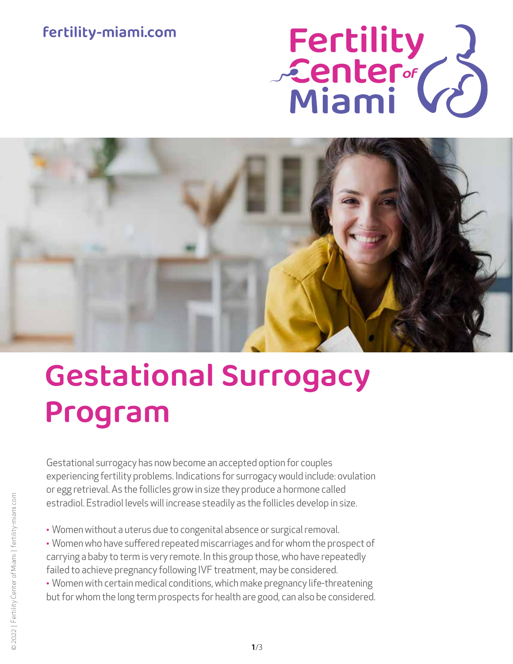## fertility-miami.com

# Fertility<br>Center (2)



# Gestational Surrogacy Program

Gestational surrogacy has now become an accepted option for couples experiencing fertility problems. Indications for surrogacy would include: ovulation or egg retrieval. As the follicles grow in size they produce a hormone called estradiol. Estradiol levels will increase steadily as the follicles develop in size.

- Women without a uterus due to congenital absence or surgical removal.
- Women who have suffered repeated miscarriages and for whom the prospect of carrying a baby to term is very remote. In this group those, who have repeatedly failed to achieve pregnancy following IVF treatment, may be considered.
- Women with certain medical conditions, which make pregnancy life-threatening but for whom the long term prospects for health are good, can also be considered.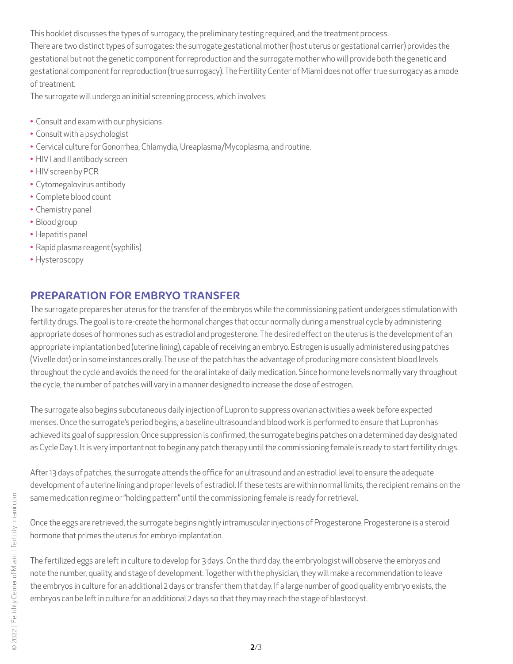This booklet discusses the types of surrogacy, the preliminary testing required, and the treatment process.

There are two distinct types of surrogates: the surrogate gestational mother (host uterus or gestational carrier) provides the gestational but not the genetic component for reproduction and the surrogate mother who will provide both the genetic and gestational component for reproduction (true surrogacy). The Fertility Center of Miami does not offer true surrogacy as a mode of treatment.

The surrogate will undergo an initial screening process, which involves:

- Consult and exam with our physicians
- Consult with a psychologist
- Cervical culture for Gonorrhea, Chlamydia, Ureaplasma/Mycoplasma, and routine.
- HIV I and II antibody screen
- HIV screen by PCR
- Cytomegalovirus antibody
- Complete blood count
- Chemistry panel
- Blood group
- Hepatitis panel
- Rapid plasma reagent (syphilis)
- Hysteroscopy

#### PREPARATION FOR EMBRYO TRANSFER

The surrogate prepares her uterus for the transfer of the embryos while the commissioning patient undergoes stimulation with fertility drugs. The goal is to re-create the hormonal changes that occur normally during a menstrual cycle by administering appropriate doses of hormones such as estradiol and progesterone. The desired effect on the uterus is the development of an appropriate implantation bed (uterine lining), capable of receiving an embryo. Estrogen is usually administered using patches (Vivelle dot) or in some instances orally. The use of the patch has the advantage of producing more consistent blood levels throughout the cycle and avoids the need for the oral intake of daily medication. Since hormone levels normally vary throughout the cycle, the number of patches will vary in a manner designed to increase the dose of estrogen.

The surrogate also begins subcutaneous daily injection of Lupron to suppress ovarian activities a week before expected menses. Once the surrogate's period begins, a baseline ultrasound and blood work is performed to ensure that Lupron has achieved its goal of suppression. Once suppression is confirmed, the surrogate begins patches on a determined day designated as Cycle Day 1. It is very important not to begin any patch therapy until the commissioning female is ready to start fertility drugs.

After 13 days of patches, the surrogate attends the office for an ultrasound and an estradiol level to ensure the adequate development of a uterine lining and proper levels of estradiol. If these tests are within normal limits, the recipient remains on the same medication regime or "holding pattern" until the commissioning female is ready for retrieval.

Once the eggs are retrieved, the surrogate begins nightly intramuscular injections of Progesterone. Progesterone is a steroid hormone that primes the uterus for embryo implantation.

The fertilized eggs are left in culture to develop for 3 days. On the third day, the embryologist will observe the embryos and note the number, quality, and stage of development. Together with the physician, they will make a recommendation to leave the embryos in culture for an additional 2 days or transfer them that day. If a large number of good quality embryo exists, the embryos can be left in culture for an additional 2 days so that they may reach the stage of blastocyst.